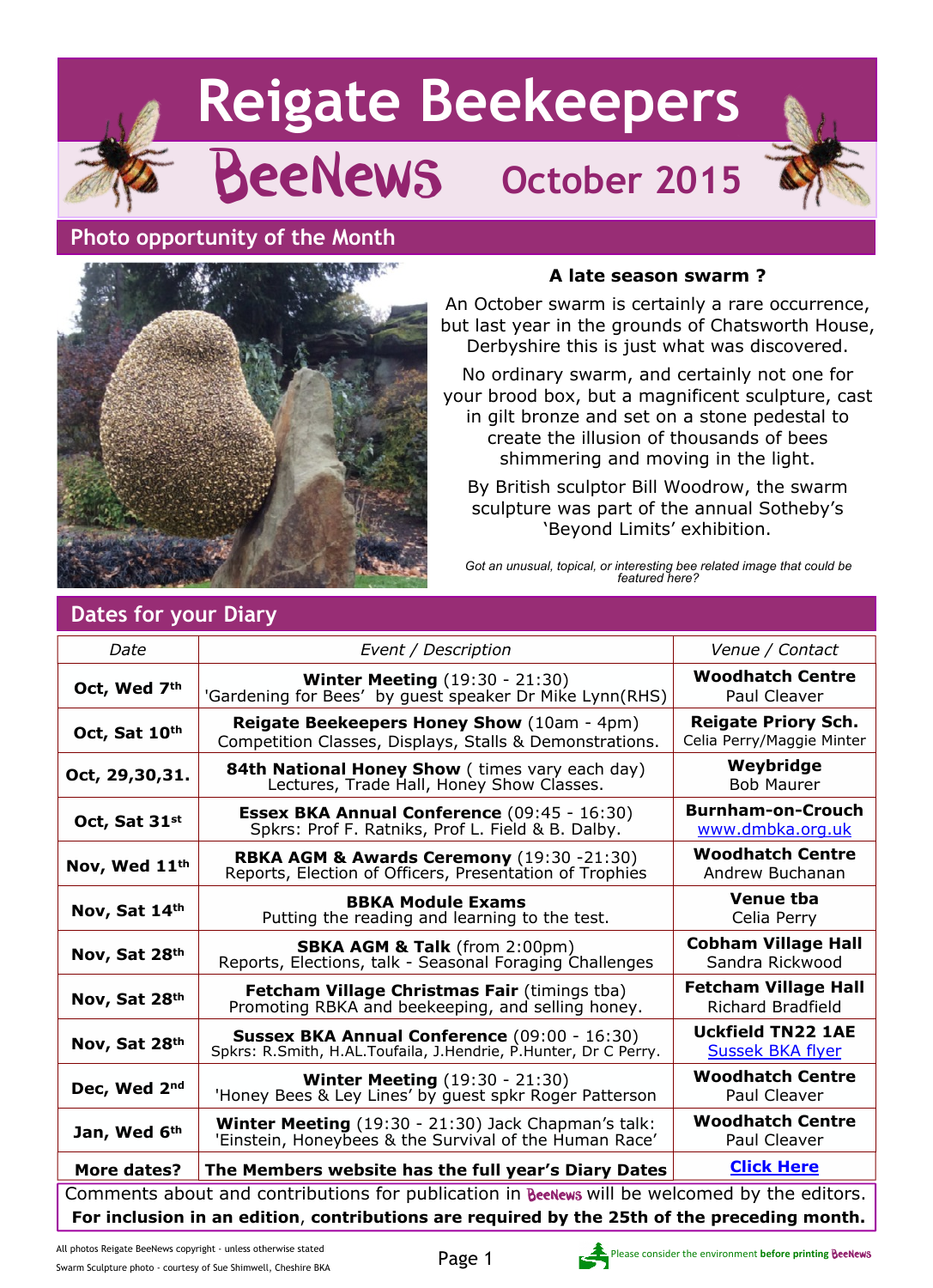# **Reigate Beekeepers** BeeNews **October 2015**

## **Photo opportunity of the Month**



#### **A late season swarm ?**

An October swarm is certainly a rare occurrence, but last year in the grounds of Chatsworth House, Derbyshire this is just what was discovered.

No ordinary swarm, and certainly not one for your brood box, but a magnificent sculpture, cast in gilt bronze and set on a stone pedestal to create the illusion of thousands of bees shimmering and moving in the light.

By British sculptor Bill Woodrow, the swarm sculpture was part of the annual Sotheby's 'Beyond Limits' exhibition.

*Got an unusual, topical, or interesting bee related image that could be featured here?*

| Dates for your Diary                                                                         |                                                                                                                 |                                                         |  |
|----------------------------------------------------------------------------------------------|-----------------------------------------------------------------------------------------------------------------|---------------------------------------------------------|--|
| Date                                                                                         | Event / Description                                                                                             | Venue / Contact                                         |  |
| Oct, Wed 7th                                                                                 | <b>Winter Meeting (19:30 - 21:30)</b><br>'Gardening for Bees' by guest speaker Dr Mike Lynn(RHS)                | <b>Woodhatch Centre</b><br>Paul Cleaver                 |  |
| Oct, Sat 10th                                                                                | Reigate Beekeepers Honey Show (10am - 4pm)<br>Competition Classes, Displays, Stalls & Demonstrations.           | <b>Reigate Priory Sch.</b><br>Celia Perry/Maggie Minter |  |
| Oct, 29,30,31.                                                                               | <b>84th National Honey Show</b> (times vary each day)<br>Lectures, Trade Hall, Honey Show Classes.              | Weybridge<br><b>Bob Maurer</b>                          |  |
| Oct, Sat 31st                                                                                | <b>Essex BKA Annual Conference</b> (09:45 - 16:30)<br>Spkrs: Prof F. Ratniks, Prof L. Field & B. Dalby.         | <b>Burnham-on-Crouch</b><br>www.dmbka.org.uk            |  |
| Nov, Wed 11th                                                                                | RBKA AGM & Awards Ceremony (19:30 -21:30)<br>Reports, Election of Officers, Presentation of Trophies            | <b>Woodhatch Centre</b><br>Andrew Buchanan              |  |
| Nov, Sat 14th                                                                                | <b>BBKA Module Exams</b><br>Putting the reading and learning to the test.                                       | <b>Venue tba</b><br>Celia Perry                         |  |
| Nov, Sat 28th                                                                                | <b>SBKA AGM &amp; Talk</b> (from 2:00pm)<br>Reports, Elections, talk - Seasonal Foraging Challenges             | <b>Cobham Village Hall</b><br>Sandra Rickwood           |  |
| Nov, Sat 28th                                                                                | <b>Fetcham Village Christmas Fair (timings tba)</b><br>Promoting RBKA and beekeeping, and selling honey.        | <b>Fetcham Village Hall</b><br><b>Richard Bradfield</b> |  |
| Nov, Sat 28th                                                                                | Sussex BKA Annual Conference (09:00 - 16:30)<br>Spkrs: R.Smith, H.AL.Toufaila, J.Hendrie, P.Hunter, Dr C Perry. | <b>Uckfield TN22 1AE</b><br><b>Sussek BKA flyer</b>     |  |
| Dec, Wed 2nd                                                                                 | <b>Winter Meeting (19:30 - 21:30)</b><br>'Honey Bees & Ley Lines' by guest spkr Roger Patterson                 | <b>Woodhatch Centre</b><br>Paul Cleaver                 |  |
| Jan, Wed 6th                                                                                 | Winter Meeting (19:30 - 21:30) Jack Chapman's talk:<br>'Einstein, Honeybees & the Survival of the Human Race'   | <b>Woodhatch Centre</b><br>Paul Cleaver                 |  |
| More dates?                                                                                  | The Members website has the full year's Diary Dates                                                             | <b>Click Here</b>                                       |  |
| Comments about and contributions for publication in BeeNews will be welcomed by the editors. |                                                                                                                 |                                                         |  |
| For inclusion in an edition, contributions are required by the 25th of the preceding month.  |                                                                                                                 |                                                         |  |



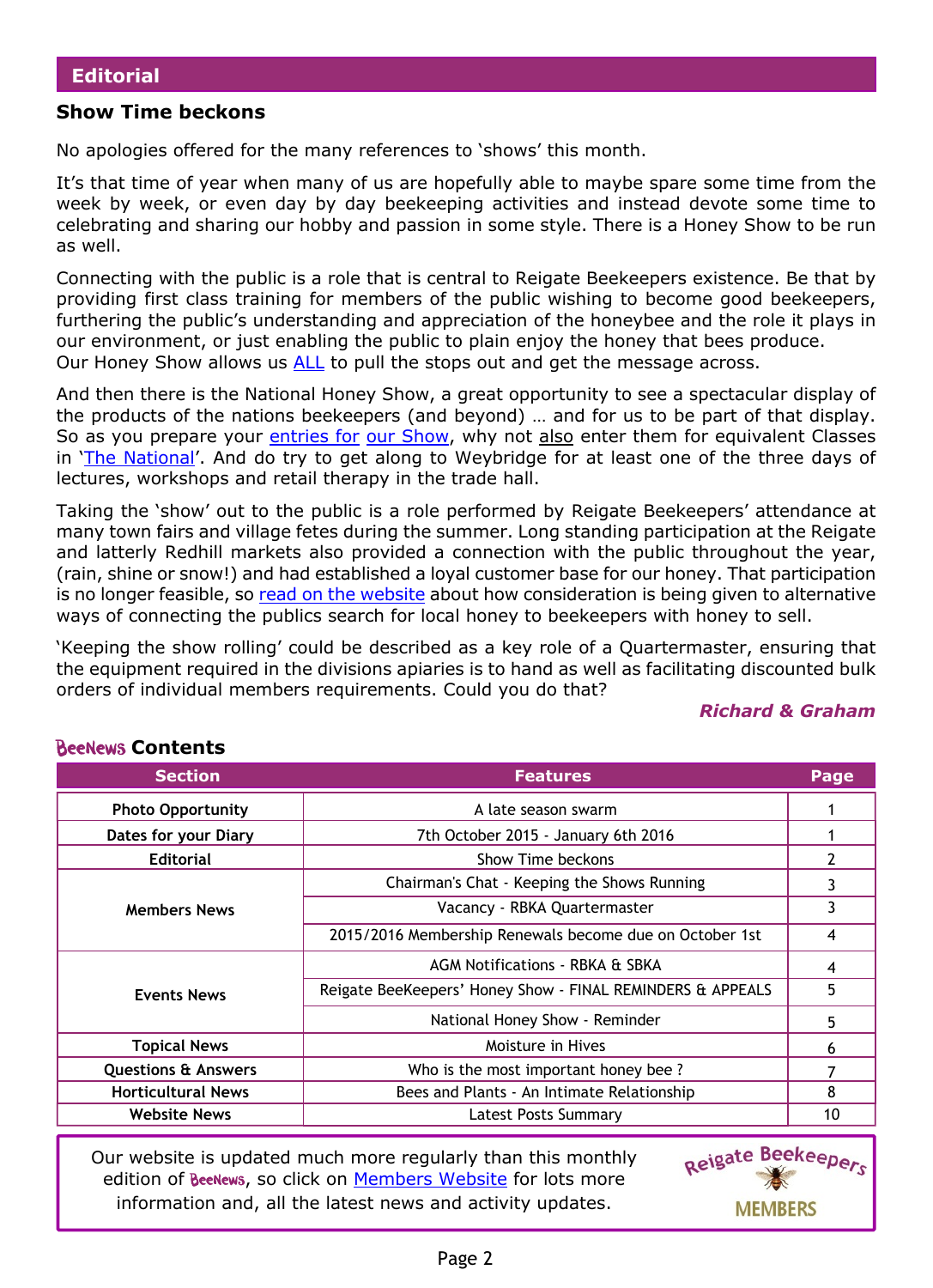#### **Show Time beckons**

No apologies offered for the many references to 'shows' this month.

It's that time of year when many of us are hopefully able to maybe spare some time from the week by week, or even day by day beekeeping activities and instead devote some time to celebrating and sharing our hobby and passion in some style. There is a Honey Show to be run as well.

Connecting with the public is a role that is central to Reigate Beekeepers existence. Be that by providing first class training for members of the public wishing to become good beekeepers, furthering the public's understanding and appreciation of the honeybee and the role it plays in our environment, or just enabling the public to plain enjoy the honey that bees produce. Our Honey Show allows us [ALL](http://rbkbblog.com/2015/09/10/rbka-honey-show-helping-promoting/) to pull the stops out and get the message across.

And then there is the National Honey Show, a great opportunity to see a spectacular display of the products of the nations beekeepers (and beyond) … and for us to be part of that display. So as you prepare your [entries for](http://rbkbblog.com/2015/07/19/rbka-honey-show-registration-now-open/) [our Show,](http://rbkbblog.com/2015/07/19/rbka-honey-show-registration-now-open/) why not also enter them for equivalent Classes in '[The National](https://www.honeyshow.co.uk/)'. And do try to get along to Weybridge for at least one of the three days of lectures, workshops and retail therapy in the trade hall.

Taking the 'show' out to the public is a role performed by Reigate Beekeepers' attendance at many town fairs and village fetes during the summer. Long standing participation at the Reigate and latterly Redhill markets also provided a connection with the public throughout the year, (rain, shine or snow!) and had established a loyal customer base for our honey. That participation is no longer feasible, so [read on the website](http://rbkbblog.com/2015/09/16/calling-all-members-with-honey-to-sell/) about how consideration is being given to alternative ways of connecting the publics search for local honey to beekeepers with honey to sell.

'Keeping the show rolling' could be described as a key role of a Quartermaster, ensuring that the equipment required in the divisions apiaries is to hand as well as facilitating discounted bulk orders of individual members requirements. Could you do that?

#### *Richard & Graham*

| <b>Section</b>                 | <b>Features</b>                                            | Page |
|--------------------------------|------------------------------------------------------------|------|
| <b>Photo Opportunity</b>       | A late season swarm                                        |      |
| Dates for your Diary           | 7th October 2015 - January 6th 2016                        |      |
| <b>Editorial</b>               | Show Time beckons                                          |      |
|                                | Chairman's Chat - Keeping the Shows Running                | 3    |
| <b>Members News</b>            | Vacancy - RBKA Quartermaster                               | 3    |
|                                | 2015/2016 Membership Renewals become due on October 1st    | 4    |
|                                | AGM Notifications - RBKA & SBKA                            | 4    |
| <b>Events News</b>             | Reigate BeeKeepers' Honey Show - FINAL REMINDERS & APPEALS | 5    |
|                                | National Honey Show - Reminder                             | 5    |
| <b>Topical News</b>            | Moisture in Hives                                          | 6    |
| <b>Questions &amp; Answers</b> | Who is the most important honey bee?                       |      |
| <b>Horticultural News</b>      | Bees and Plants - An Intimate Relationship                 | 8    |
| <b>Website News</b>            | Latest Posts Summary                                       | 10   |

**BeeNews Contents** 

Our website is updated much more regularly than this monthly edition of BeeNews, so click on [Members Website](http://rbkbblog.com) for lots more information and, all the latest news and activity updates.

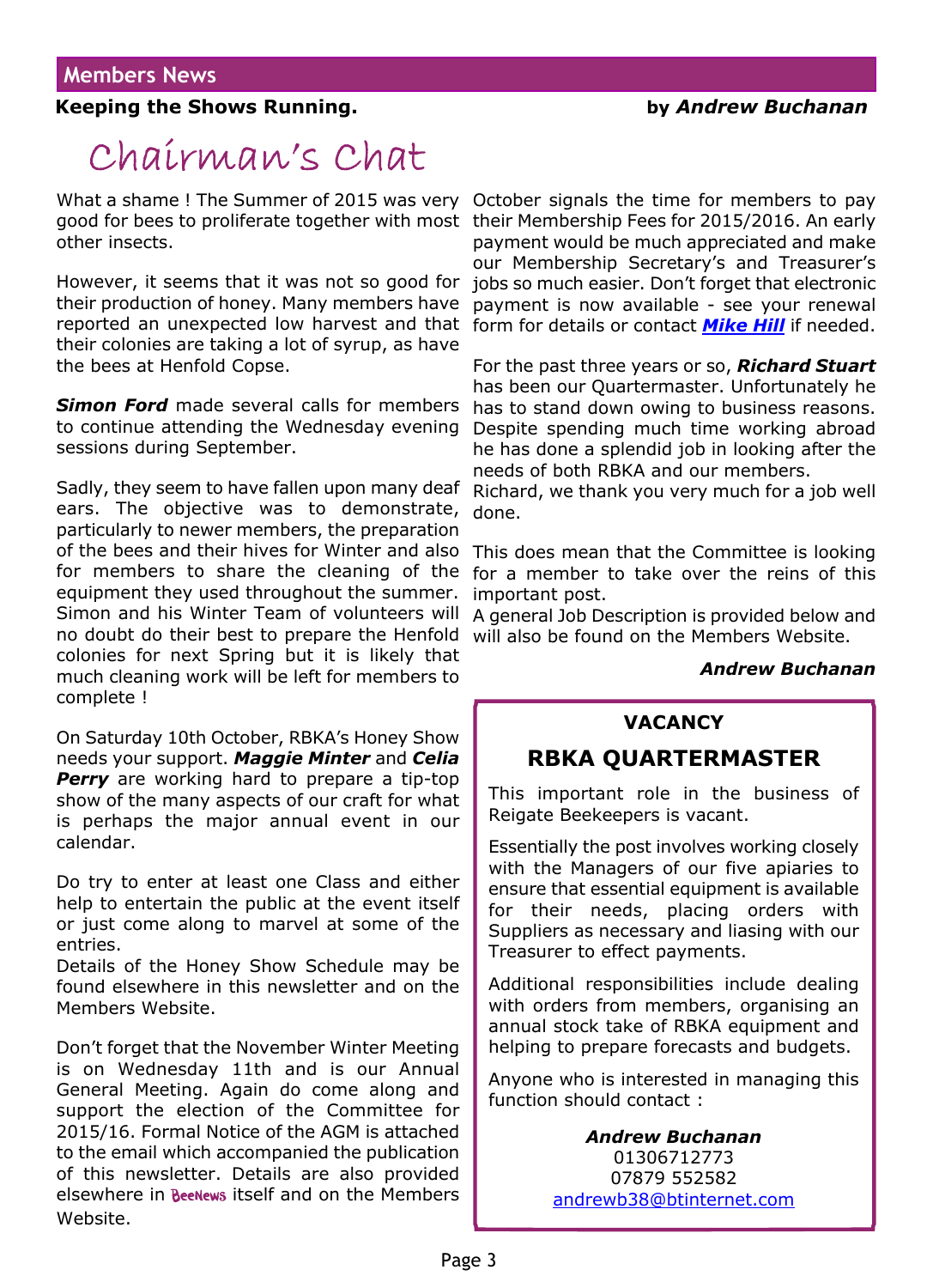## **Keeping the Shows Running. by** *Andrew Buchanan*

## Chairman's Chat

What a shame ! The Summer of 2015 was very October signals the time for members to pay good for bees to proliferate together with most their Membership Fees for 2015/2016. An early other insects.

However, it seems that it was not so good for their production of honey. Many members have reported an unexpected low harvest and that their colonies are taking a lot of syrup, as have the bees at Henfold Copse.

*Simon Ford* made several calls for members to continue attending the Wednesday evening sessions during September.

Sadly, they seem to have fallen upon many deaf ears. The objective was to demonstrate, particularly to newer members, the preparation of the bees and their hives for Winter and also for members to share the cleaning of the equipment they used throughout the summer. Simon and his Winter Team of volunteers will no doubt do their best to prepare the Henfold colonies for next Spring but it is likely that much cleaning work will be left for members to complete !

On Saturday 10th October, RBKA's Honey Show needs your support. *Maggie Minter* and *Celia* **Perry** are working hard to prepare a tip-top show of the many aspects of our craft for what is perhaps the major annual event in our calendar.

Do try to enter at least one Class and either help to entertain the public at the event itself or just come along to marvel at some of the entries.

Details of the Honey Show Schedule may be found elsewhere in this newsletter and on the Members Website.

Don't forget that the November Winter Meeting is on Wednesday 11th and is our Annual General Meeting. Again do come along and support the election of the Committee for 2015/16. Formal Notice of the AGM is attached to the email which accompanied the publication of this newsletter. Details are also provided elsewhere in Beenews itself and on the Members Website.

payment would be much appreciated and make our Membership Secretary's and Treasurer's jobs so much easier. Don't forget that electronic payment is now available - see your renewal form for details or contact *[Mike Hill](http://rbkbblog.com/membership/whos-who/contact-mike-hill-membership-sec-committee-member/)* if needed.

For the past three years or so, *Richard Stuart* has been our Quartermaster. Unfortunately he has to stand down owing to business reasons. Despite spending much time working abroad he has done a splendid job in looking after the needs of both RBKA and our members.

Richard, we thank you very much for a job well done.

This does mean that the Committee is looking for a member to take over the reins of this important post.

A general Job Description is provided below and will also be found on the Members Website.

#### *Andrew Buchanan*

#### **VACANCY**

## **RBKA QUARTERMASTER**

This important role in the business of Reigate Beekeepers is vacant.

Essentially the post involves working closely with the Managers of our five apiaries to ensure that essential equipment is available for their needs, placing orders with Suppliers as necessary and liasing with our Treasurer to effect payments.

Additional responsibilities include dealing with orders from members, organising an annual stock take of RBKA equipment and helping to prepare forecasts and budgets.

Anyone who is interested in managing this function should contact :

#### *Andrew Buchanan* 01306712773 07879 552582 [andrewb38@btinternet.com](mailto:andrewb38@btinternet.com)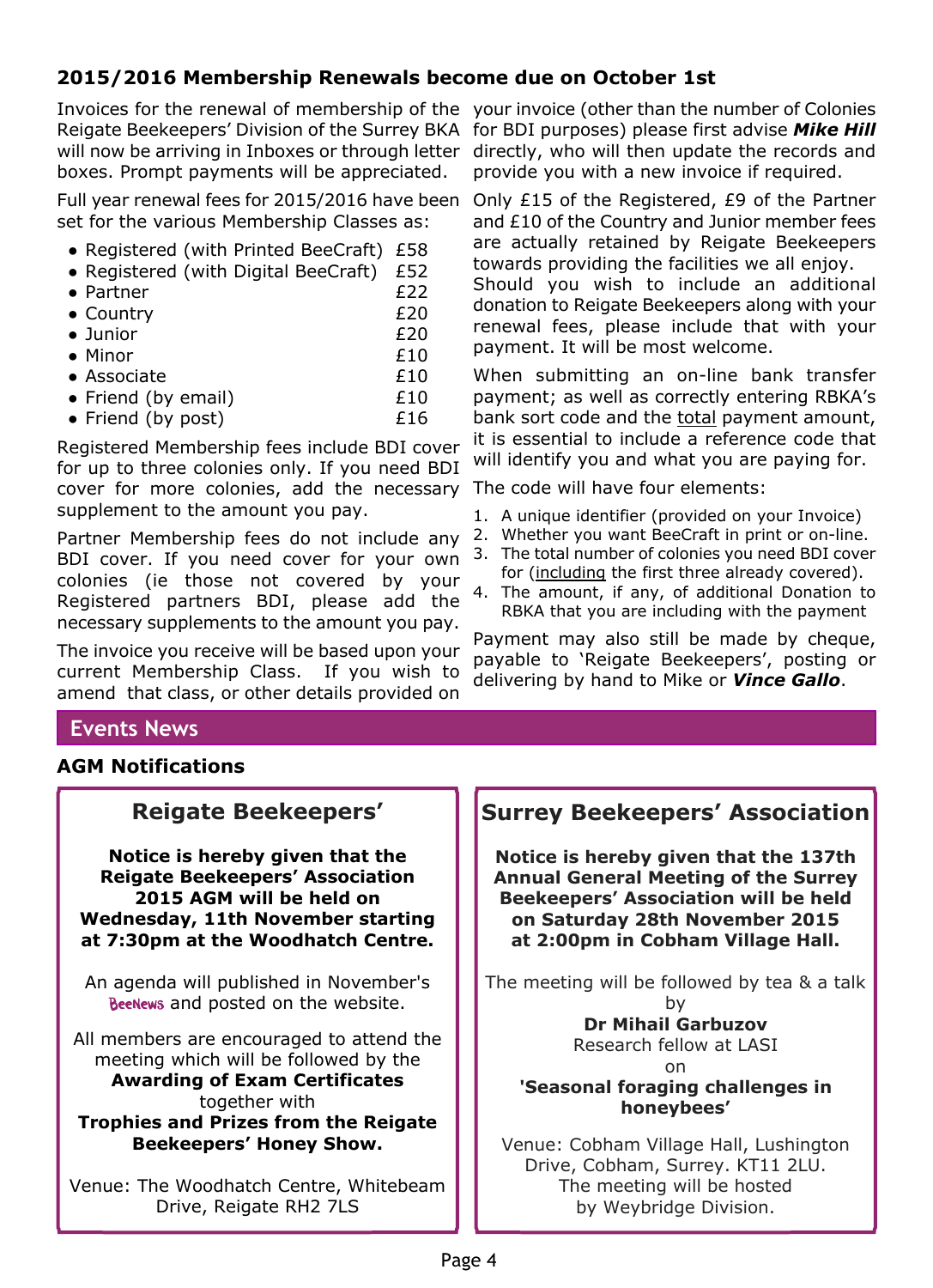## **2015/2016 Membership Renewals become due on October 1st**

Invoices for the renewal of membership of the your invoice (other than the number of Colonies Reigate Beekeepers' Division of the Surrey BKA for BDI purposes) please first advise **Mike Hill** will now be arriving in Inboxes or through letter directly, who will then update the records and boxes. Prompt payments will be appreciated.

Full year renewal fees for 2015/2016 have been set for the various Membership Classes as:

- Registered (with Printed BeeCraft) £58
- Registered (with Digital BeeCraft) £52
- Partner £22
- Country £20
- Junior £20
- $\bullet$  Minor  $£10$
- Associate £10
- Friend (by email) E10
- Friend (by post) E16

Registered Membership fees include BDI cover for up to three colonies only. If you need BDI cover for more colonies, add the necessary supplement to the amount you pay.

Partner Membership fees do not include any BDI cover. If you need cover for your own colonies (ie those not covered by your Registered partners BDI, please add the necessary supplements to the amount you pay.

The invoice you receive will be based upon your current Membership Class. If you wish to amend that class, or other details provided on

provide you with a new invoice if required.

Only £15 of the Registered, £9 of the Partner and £10 of the Country and Junior member fees are actually retained by Reigate Beekeepers towards providing the facilities we all enjoy. Should you wish to include an additional

donation to Reigate Beekeepers along with your renewal fees, please include that with your payment. It will be most welcome.

When submitting an on-line bank transfer payment; as well as correctly entering RBKA's bank sort code and the total payment amount, it is essential to include a reference code that will identify you and what you are paying for.

The code will have four elements:

- 1. A unique identifier (provided on your Invoice)
- 2. Whether you want BeeCraft in print or on-line.
- 3. The total number of colonies you need BDI cover for (including the first three already covered).
- 4. The amount, if any, of additional Donation to RBKA that you are including with the payment

Payment may also still be made by cheque, payable to 'Reigate Beekeepers', posting or delivering by hand to Mike or *Vince Gallo*.

## **Events News**

#### **AGM Notifications**

## **Reigate Beekeepers'**

**Notice is hereby given that the Reigate Beekeepers' Association 2015 AGM will be held on Wednesday, 11th November starting at 7:30pm at the Woodhatch Centre.**

An agenda will published in November's BeeNews and posted on the website.

All members are encouraged to attend the meeting which will be followed by the **Awarding of Exam Certificates** together with **Trophies and Prizes from the Reigate Beekeepers' Honey Show.**

Venue: The Woodhatch Centre, Whitebeam Drive, Reigate RH2 7LS

## **Surrey Beekeepers' Association**

**Notice is hereby given that the 137th Annual General Meeting of the Surrey Beekeepers' Association will be held on Saturday 28th November 2015 at 2:00pm in Cobham Village Hall.**

The meeting will be followed by tea & a talk by

#### **Dr Mihail Garbuzov** Research fellow at LASI

#### on **'Seasonal foraging challenges in honeybees'**

Venue: Cobham Village Hall, Lushington Drive, Cobham, Surrey. KT11 2LU. The meeting will be hosted by Weybridge Division.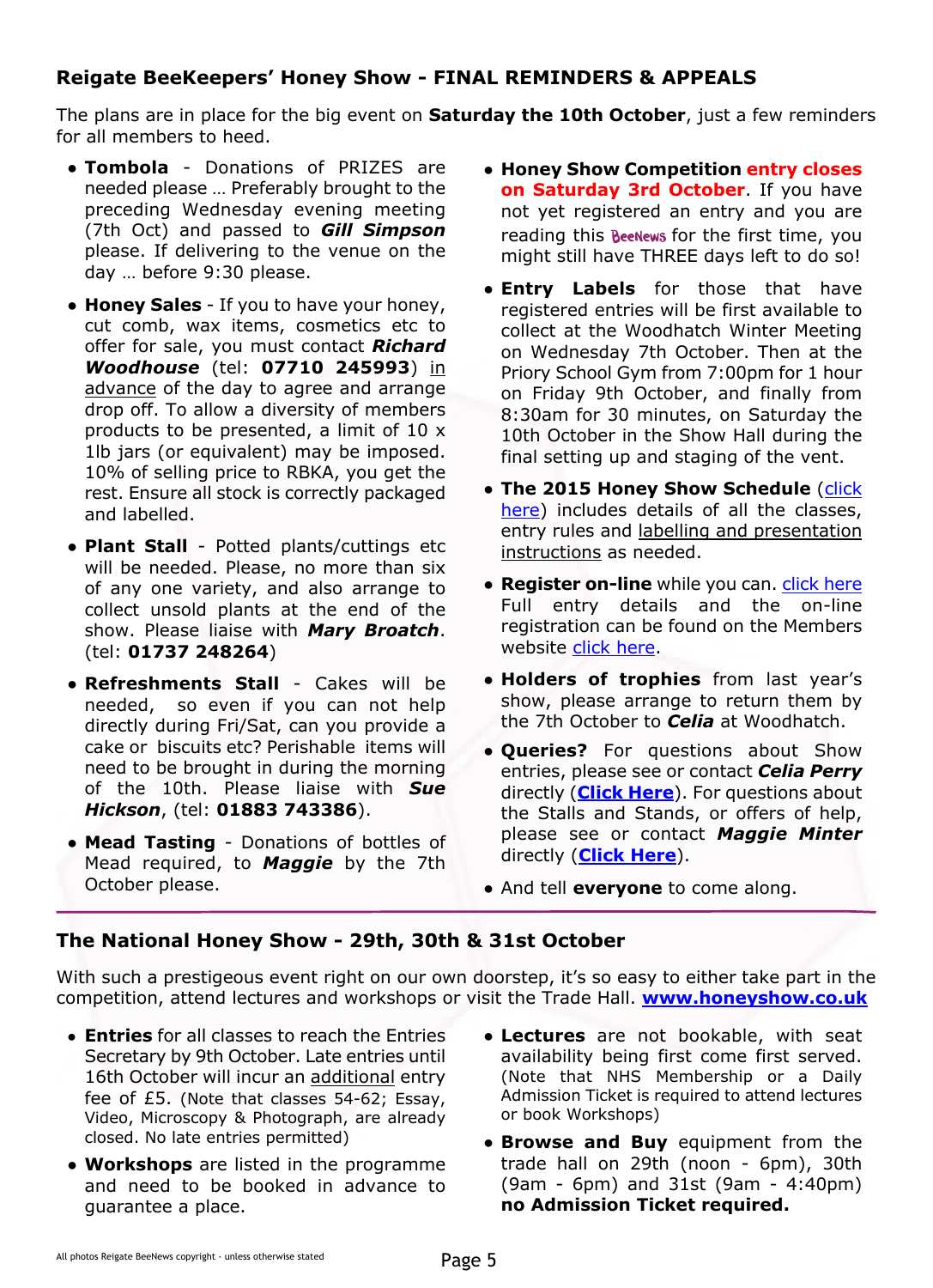## **Reigate BeeKeepers' Honey Show - FINAL REMINDERS & APPEALS**

The plans are in place for the big event on **Saturday the 10th October**, just a few reminders for all members to heed.

- **Tombola** Donations of PRIZES are needed please … Preferably brought to the preceding Wednesday evening meeting (7th Oct) and passed to *Gill Simpson* please. If delivering to the venue on the day … before 9:30 please.
- **Honey Sales** If you to have your honey, cut comb, wax items, cosmetics etc to offer for sale, you must contact *Richard Woodhouse* (tel: **07710 245993**) in advance of the day to agree and arrange drop off. To allow a diversity of members products to be presented, a limit of 10 x 1lb jars (or equivalent) may be imposed. 10% of selling price to RBKA, you get the rest. Ensure all stock is correctly packaged and labelled.
- **Plant Stall** Potted plants/cuttings etc will be needed. Please, no more than six of any one variety, and also arrange to collect unsold plants at the end of the show. Please liaise with *Mary Broatch*. (tel: **01737 248264**)
- **Refreshments Stall** Cakes will be needed, so even if you can not help directly during Fri/Sat, can you provide a cake or biscuits etc? Perishable items will need to be brought in during the morning of the 10th. Please liaise with *Sue Hickson*, (tel: **01883 743386**).
- **Mead Tasting** Donations of bottles of Mead required, to *Maggie* by the 7th October please.
- **Honey Show Competition entry closes on Saturday 3rd October**. If you have not yet registered an entry and you are reading this **Beenews** for the first time, you might still have THREE days left to do so!
- **Entry Labels** for those that have registered entries will be first available to collect at the Woodhatch Winter Meeting on Wednesday 7th October. Then at the Priory School Gym from 7:00pm for 1 hour on Friday 9th October, and finally from 8:30am for 30 minutes, on Saturday the 10th October in the Show Hall during the final setting up and staging of the vent.
- The 2015 Honey Show Schedule ([click](https://rbkbblog.files.wordpress.com/2015/07/2015honeyshowschedule.pdf) [here\)](https://rbkbblog.files.wordpress.com/2015/07/2015honeyshowschedule.pdf) includes details of all the classes, entry rules and labelling and presentation instructions as needed.
- **Register on-line** while you can. *[click here](http://tinyurl.com/ReigateHoneyShow2015)* Full entry details and the on-line registration can be found on the Members website [click here](http://rbkbblog.com/2015/07/19/rbka-honey-show-registration-now-open/).
- **Holders of trophies** from last year's show, please arrange to return them by the 7th October to *Celia* at Woodhatch.
- **Queries?** For questions about Show entries, please see or contact *Celia Perry* directly (**[Click Here](http://rbkbblog.com/whos-who/)**). For questions about the Stalls and Stands, or offers of help, please see or contact *Maggie Minter* directly (**[Click Here](http://rbkbblog.wordpress.com/contact-maggie-minter-committee-member/)**).
- And tell **everyone** to come along.

#### **The National Honey Show - 29th, 30th & 31st October**

With such a prestigeous event right on our own doorstep, it's so easy to either take part in the competition, attend lectures and workshops or visit the Trade Hall. **[www.honeyshow.co.uk](https://www.honeyshow.co.uk/)**

- **Entries** for all classes to reach the Entries Secretary by 9th October. Late entries until 16th October will incur an additional entry fee of £5. (Note that classes 54-62; Essay, Video, Microscopy & Photograph, are already closed. No late entries permitted)
- **● Workshops** are listed in the programme and need to be booked in advance to guarantee a place.
- **Lectures** are not bookable, with seat availability being first come first served. (Note that NHS Membership or a Daily Admission Ticket is required to attend lectures or book Workshops)
- **Browse and Buy** equipment from the trade hall on 29th (noon - 6pm), 30th (9am - 6pm) and 31st (9am - 4:40pm) **no Admission Ticket required.**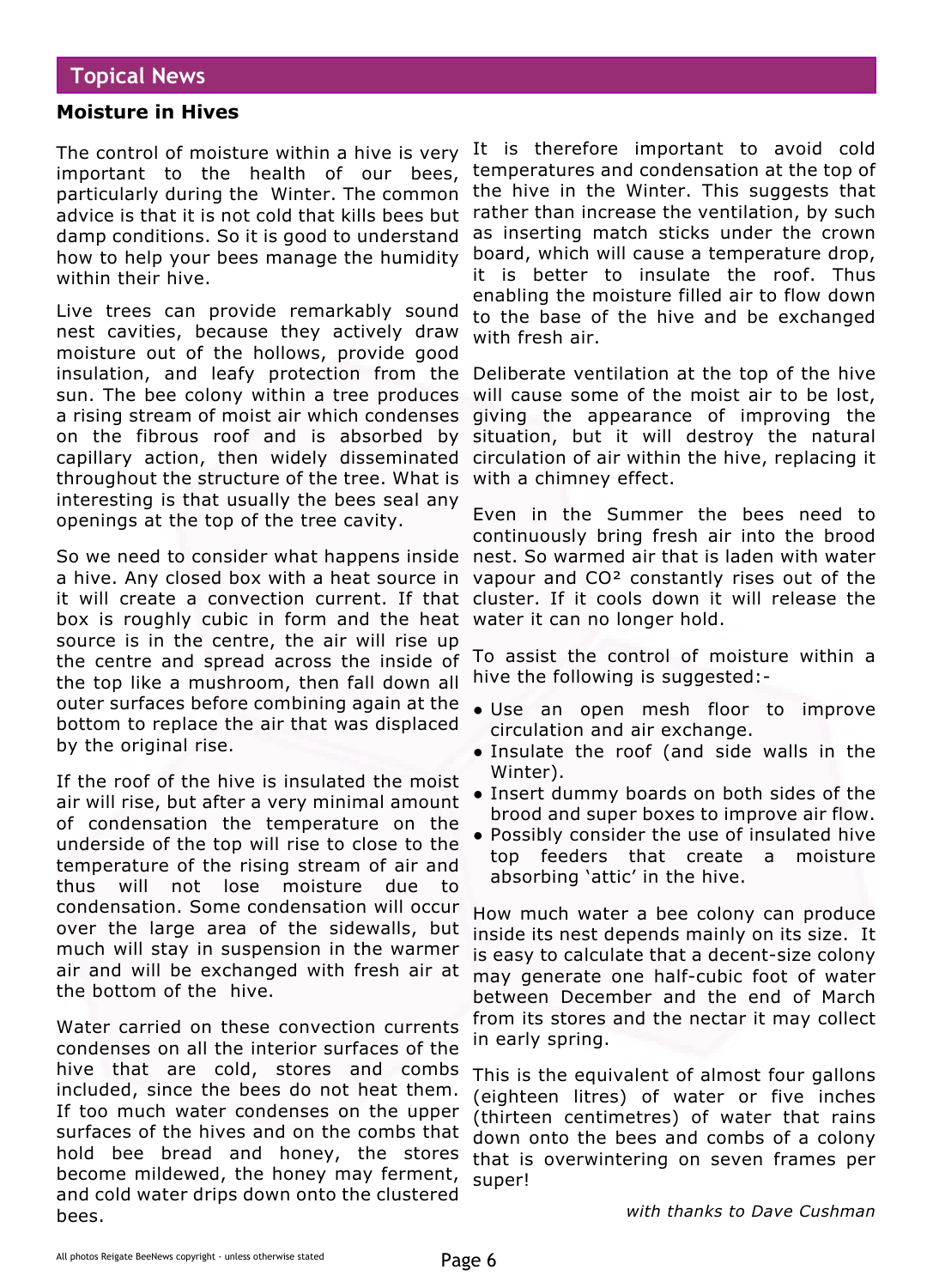## **Topical News**

#### **Moisture in Hives**

The control of moisture within a hive is very important to the health of our bees, particularly during the Winter. The common advice is that it is not cold that kills bees but damp conditions. So it is good to understand how to help your bees manage the humidity within their hive.

Live trees can provide remarkably sound nest cavities, because they actively draw moisture out of the hollows, provide good insulation, and leafy protection from the sun. The bee colony within a tree produces a rising stream of moist air which condenses on the fibrous roof and is absorbed by capillary action, then widely disseminated throughout the structure of the tree. What is interesting is that usually the bees seal any openings at the top of the tree cavity.

So we need to consider what happens inside a hive. Any closed box with a heat source in it will create a convection current. If that box is roughly cubic in form and the heat water it can no longer hold. source is in the centre, the air will rise up the centre and spread across the inside of the top like a mushroom, then fall down all outer surfaces before combining again at the bottom to replace the air that was displaced by the original rise.

If the roof of the hive is insulated the moist air will rise, but after a very minimal amount of condensation the temperature on the underside of the top will rise to close to the temperature of the rising stream of air and thus will not lose moisture due to condensation. Some condensation will occur over the large area of the sidewalls, but much will stay in suspension in the warmer air and will be exchanged with fresh air at the bottom of the hive.

Water carried on these convection currents condenses on all the interior surfaces of the hive that are cold, stores and combs included, since the bees do not heat them. If too much water condenses on the upper surfaces of the hives and on the combs that hold bee bread and honey, the stores become mildewed, the honey may ferment, and cold water drips down onto the clustered bees.

It is therefore important to avoid cold temperatures and condensation at the top of the hive in the Winter. This suggests that rather than increase the ventilation, by such as inserting match sticks under the crown board, which will cause a temperature drop, it is better to insulate the roof. Thus enabling the moisture filled air to flow down to the base of the hive and be exchanged with fresh air.

Deliberate ventilation at the top of the hive will cause some of the moist air to be lost, giving the appearance of improving the situation, but it will destroy the natural circulation of air within the hive, replacing it with a chimney effect.

Even in the Summer the bees need to continuously bring fresh air into the brood nest. So warmed air that is laden with water vapour and CO² constantly rises out of the cluster. If it cools down it will release the

To assist the control of moisture within a hive the following is suggested:-

- Use an open mesh floor to improve circulation and air exchange.
- Insulate the roof (and side walls in the Winter).
- Insert dummy boards on both sides of the brood and super boxes to improve air flow.
- Possibly consider the use of insulated hive top feeders that create a moisture absorbing 'attic' in the hive.

How much water a bee colony can produce inside its nest depends mainly on its size. It is easy to calculate that a decent-size colony may generate one half-cubic foot of water between December and the end of March from its stores and the nectar it may collect in early spring.

This is the equivalent of almost four gallons (eighteen litres) of water or five inches (thirteen centimetres) of water that rains down onto the bees and combs of a colony that is overwintering on seven frames per super!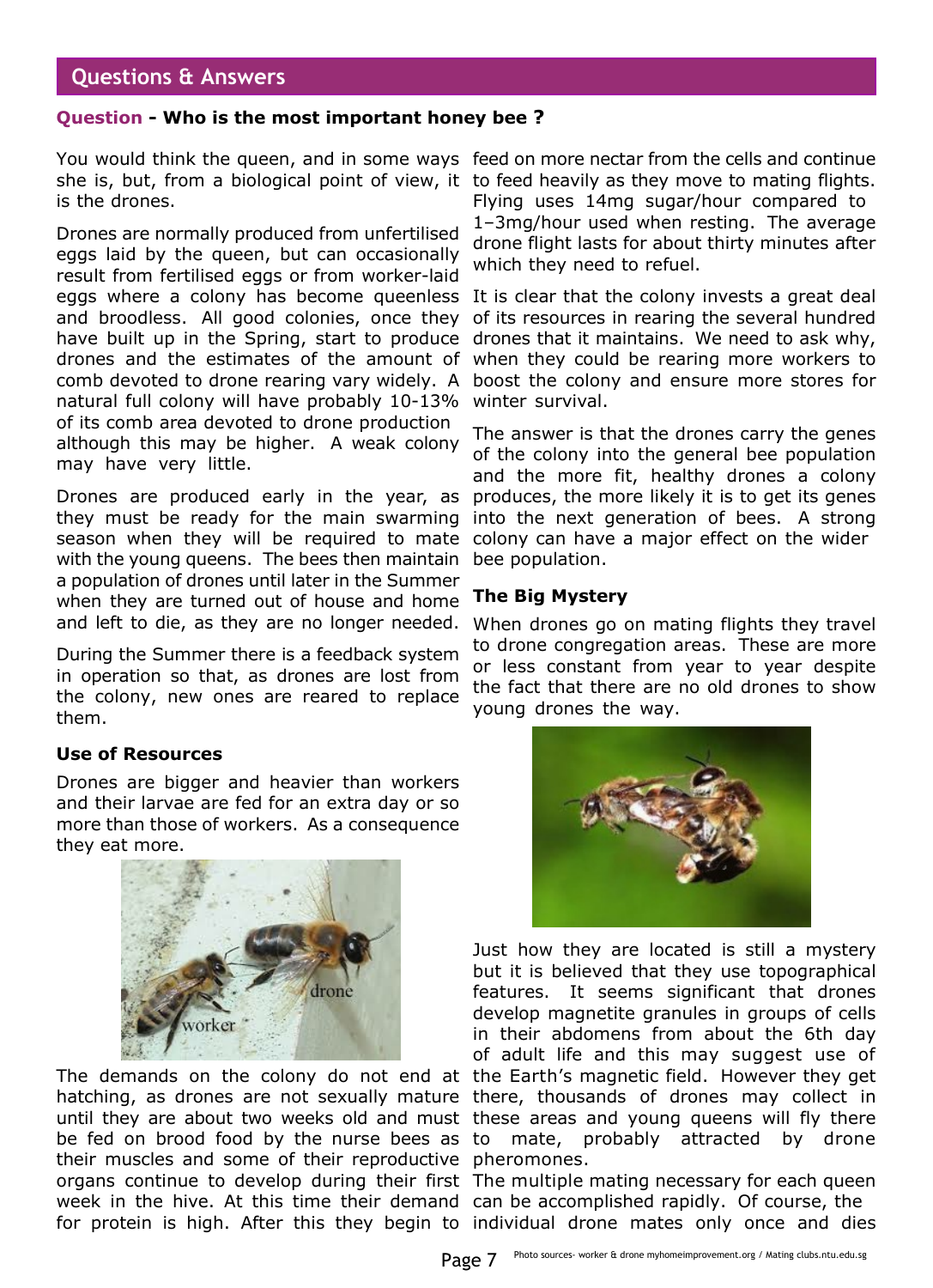## **Questions & Answers**

#### **Question - Who is the most important honey bee ?**

You would think the queen, and in some ways feed on more nectar from the cells and continue she is, but, from a biological point of view, it to feed heavily as they move to mating flights. is the drones.

Drones are normally produced from unfertilised eggs laid by the queen, but can occasionally result from fertilised eggs or from worker-laid eggs where a colony has become queenless It is clear that the colony invests a great deal and broodless. All good colonies, once they of its resources in rearing the several hundred have built up in the Spring, start to produce drones and the estimates of the amount of comb devoted to drone rearing vary widely. A natural full colony will have probably 10-13% of its comb area devoted to drone production although this may be higher. A weak colony may have very little.

Drones are produced early in the year, as they must be ready for the main swarming season when they will be required to mate with the young queens. The bees then maintain a population of drones until later in the Summer when they are turned out of house and home and left to die, as they are no longer needed.

During the Summer there is a feedback system in operation so that, as drones are lost from the colony, new ones are reared to replace them.

#### **Use of Resources**

Drones are bigger and heavier than workers and their larvae are fed for an extra day or so more than those of workers. As a consequence they eat more.



The demands on the colony do not end at the Earth's magnetic field. However they get hatching, as drones are not sexually mature there, thousands of drones may collect in until they are about two weeks old and must these areas and young queens will fly there be fed on brood food by the nurse bees as to their muscles and some of their reproductive pheromones. organs continue to develop during their first The multiple mating necessary for each queen week in the hive. At this time their demand can be accomplished rapidly. Of course, the for protein is high. After this they begin to individual drone mates only once and dies

Flying uses 14mg sugar/hour compared to 1–3mg/hour used when resting. The average drone flight lasts for about thirty minutes after which they need to refuel.

drones that it maintains. We need to ask why, when they could be rearing more workers to boost the colony and ensure more stores for winter survival.

The answer is that the drones carry the genes of the colony into the general bee population and the more fit, healthy drones a colony produces, the more likely it is to get its genes into the next generation of bees. A strong colony can have a major effect on the wider bee population.

#### **The Big Mystery**

When drones go on mating flights they travel to drone congregation areas. These are more or less constant from year to year despite the fact that there are no old drones to show young drones the way.



Just how they are located is still a mystery but it is believed that they use topographical features. It seems significant that drones develop magnetite granules in groups of cells in their abdomens from about the 6th day of adult life and this may suggest use of mate, probably attracted by drone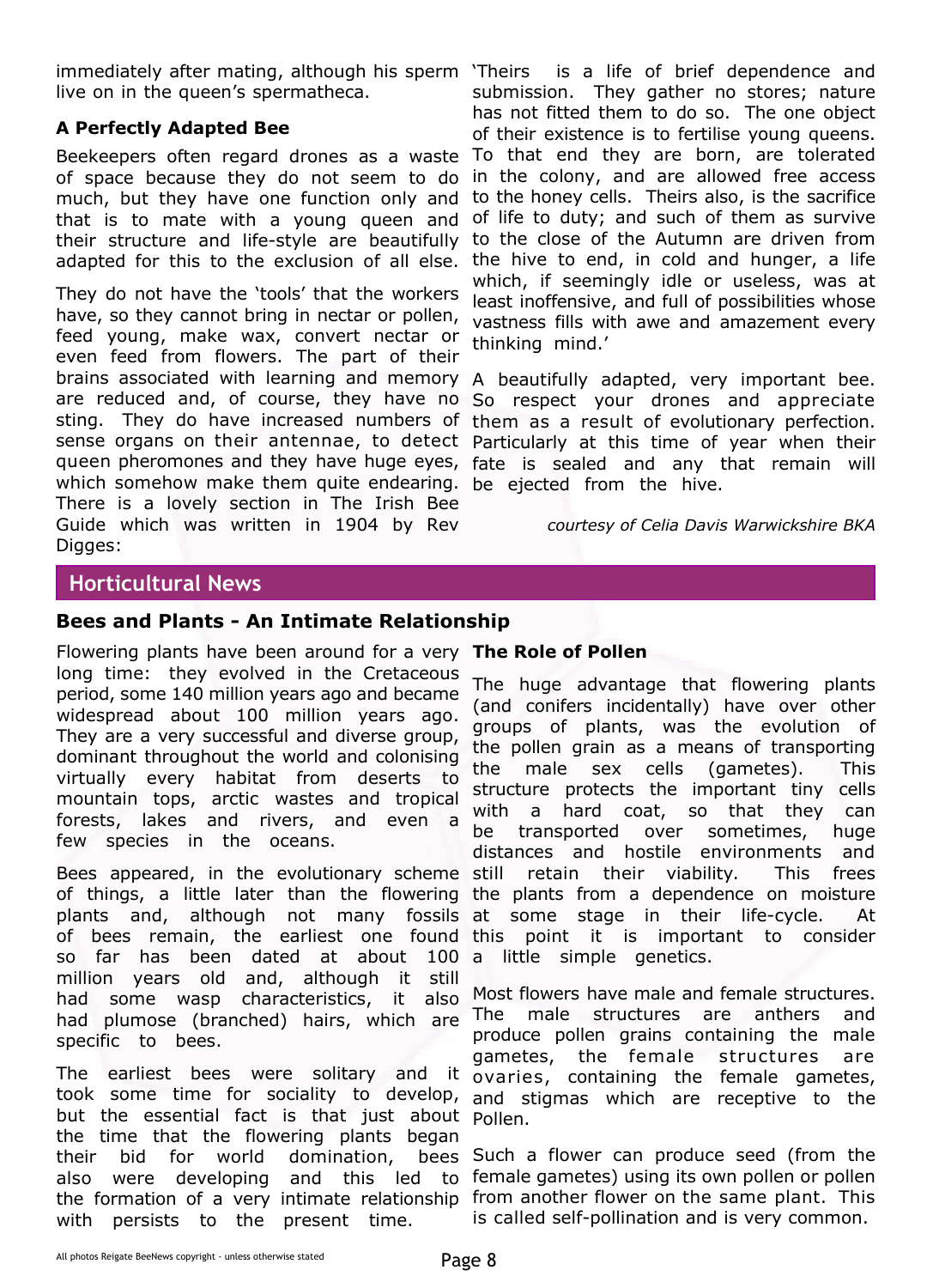immediately after mating, although his sperm 'Theirs live on in the queen's spermatheca.

#### **A Perfectly Adapted Bee**

Beekeepers often regard drones as a waste To that end they are born, are tolerated of space because they do not seem to do in the colony, and are allowed free access much, but they have one function only and to the honey cells. Theirs also, is the sacrifice that is to mate with a young queen and of life to duty; and such of them as survive their structure and life-style are beautifully to the close of the Autumn are driven from

They do not have the 'tools' that the workers have, so they cannot bring in nectar or pollen, feed young, make wax, convert nectar or even feed from flowers. The part of their brains associated with learning and memory A beautifully adapted, very important bee. are reduced and, of course, they have no So respect your drones and appreciate sting. They do have increased numbers of them as a result of evolutionary perfection. sense organs on their antennae, to detect Particularly at this time of year when their queen pheromones and they have huge eyes, fate is sealed and any that remain will which somehow make them quite endearing. be ejected from the hive. There is a lovely section in The Irish Bee Guide which was written in 1904 by Rev Digges:

adapted for this to the exclusion of all else. the hive to end, in cold and hunger, a life is a life of brief dependence and submission. They gather no stores; nature has not fitted them to do so. The one object of their existence is to fertilise young queens. which, if seemingly idle or useless, was at least inoffensive, and full of possibilities whose vastness fills with awe and amazement every thinking mind.'

*courtesy of Celia Davis Warwickshire BKA*

## **Horticultural News**

### **Bees and Plants - An Intimate Relationship**

Flowering plants have been around for a very **The Role of Pollen** long time: they evolved in the Cretaceous period, some 140 million years ago and became widespread about 100 million years ago. They are a very successful and diverse group, dominant throughout the world and colonising virtually every habitat from deserts to mountain tops, arctic wastes and tropical forests, lakes and rivers, and even a few species in the oceans.

Bees appeared, in the evolutionary scheme still of things, a little later than the flowering the plants from a dependence on moisture plants and, although not many fossils at some stage in their life-cycle. At of bees remain, the earliest one found so far has been dated at about 100 a little simple genetics. million years old and, although it still had some wasp characteristics, it also had plumose (branched) hairs, which are specific to bees.

The earliest bees were solitary and it ovaries, containing the female gametes, took some time for sociality to develop, and stigmas which are receptive to the but the essential fact is that just about Pollen. the time that the flowering plants began their bid for world domination, also were developing and this led to female-gametes) using its own-pollen or pollen the formation of a very intimate relationship from another flower on the same plant. This with persists to the present time.

The huge advantage that flowering plants (and conifers incidentally) have over other groups of plants, was the evolution of the pollen grain as a means of transporting the male sex cells (gametes). This structure protects the important tiny cells with a hard coat, so that they can be transported over sometimes, huge distances and hostile environments and retain their viability. This frees point it is important to consider

Most flowers have male and female structures. The male structures are anthers and produce pollen grains containing the male gametes, the female structures are

bees Such a flower can produce seed (from the is called self-pollination and is very common.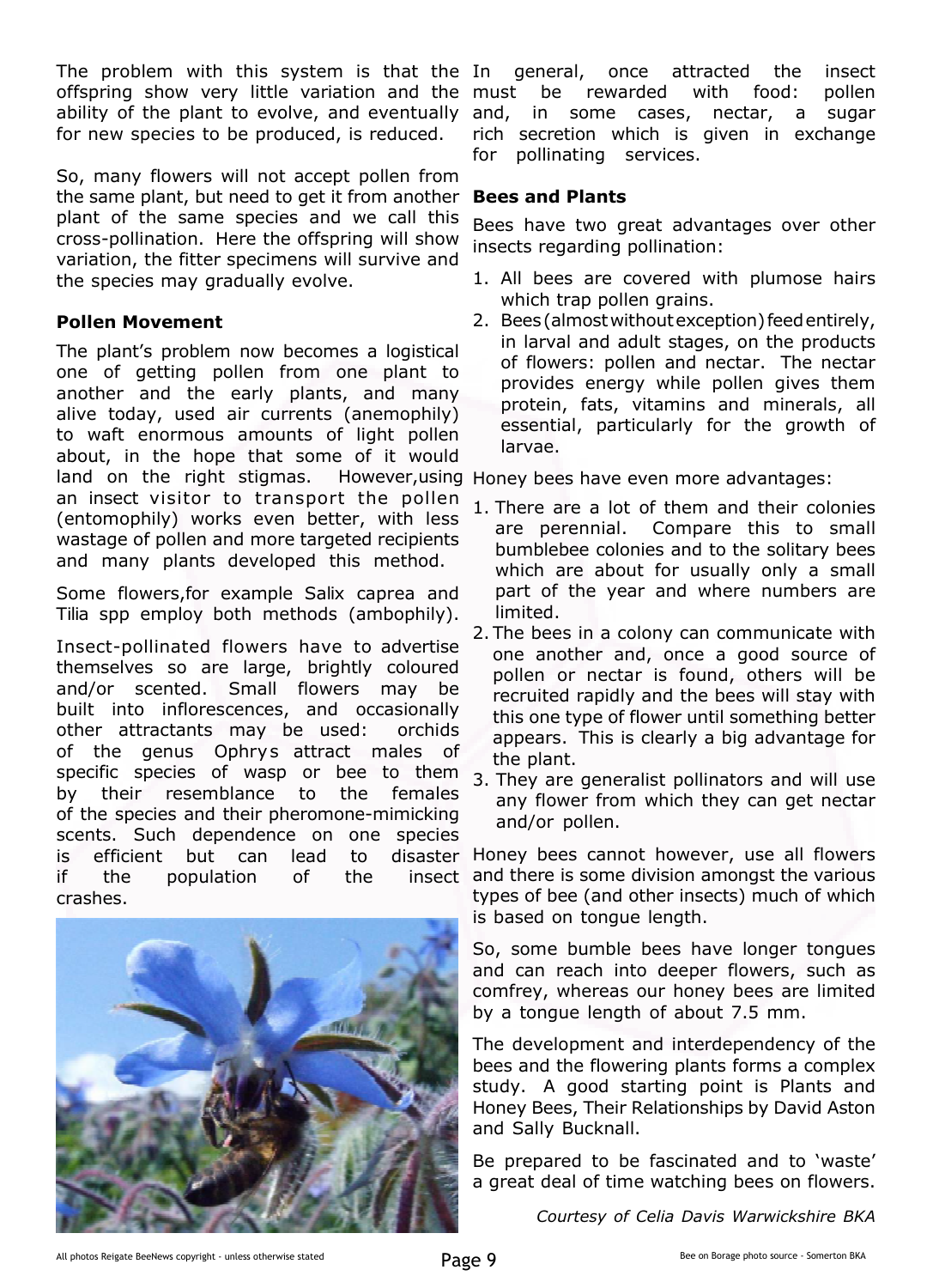The problem with this system is that the In general, offspring show very little variation and the ability of the plant to evolve, and eventually and, for new species to be produced, is reduced.

So, many flowers will not accept pollen from the same plant, but need to get it from another plant of the same species and we call this cross-pollination. Here the offspring will show variation, the fitter specimens will survive and the species may gradually evolve.

#### **Pollen Movement**

The plant's problem now becomes a logistical one of getting pollen from one plant to another and the early plants, and many alive today, used air currents (anemophily) to waft enormous amounts of light pollen about, in the hope that some of it would land on the right stigmas. However,using Honey bees have even more advantages: an insect visitor to transport the pollen (entomophily) works even better, with less wastage of pollen and more targeted recipients and many plants developed this method.

Some flowers,for example Salix caprea and Tilia spp employ both methods (ambophily).

Insect-pollinated flowers have to advertise themselves so are large, brightly coloured and/or scented. Small flowers may be built into inflorescences, and occasionally other attractants may be used: orchids of the genus Ophrys attract males of specific species of wasp or bee to them by their resemblance to the females of the species and their pheromone-mimicking scents. Such dependence on one species is efficient but can lead to if the population of the crashes.



once attracted the insect be rewarded with food: pollen in some cases, nectar, a sugar rich secretion which is given in exchange for pollinating services.

#### **Bees and Plants**

Bees have two great advantages over other insects regarding pollination:

- 1. All bees are covered with plumose hairs which trap pollen grains.
- 2. Bees (almost without exception) feed entirely, in larval and adult stages, on the products of flowers: pollen and nectar. The nectar provides energy while pollen gives them protein, fats, vitamins and minerals, all essential, particularly for the growth of larvae.

- 1. There are a lot of them and their colonies are perennial. Compare this to small bumblebee colonies and to the solitary bees which are about for usually only a small part of the year and where numbers are limited.
- 2. The bees in a colony can communicate with one another and, once a good source of pollen or nectar is found, others will be recruited rapidly and the bees will stay with this one type of flower until something better appears. This is clearly a big advantage for the plant.
- 3. They are generalist pollinators and will use any flower from which they can get nectar and/or pollen.

disaster Honey bees cannot however, use all flowers insect and there is some division amongst the various types of bee (and other insects) much of which is based on tongue length.

> So, some bumble bees have longer tongues and can reach into deeper flowers, such as comfrey, whereas our honey bees are limited by a tongue length of about 7.5 mm.

> The development and interdependency of the bees and the flowering plants forms a complex study. A good starting point is Plants and Honey Bees, Their Relationships by David Aston and Sally Bucknall.

> Be prepared to be fascinated and to 'waste' a great deal of time watching bees on flowers.

> > *Courtesy of Celia Davis Warwickshire BKA*

All photos Reigate BeeNews copyright - unless otherwise stated **Page 9**